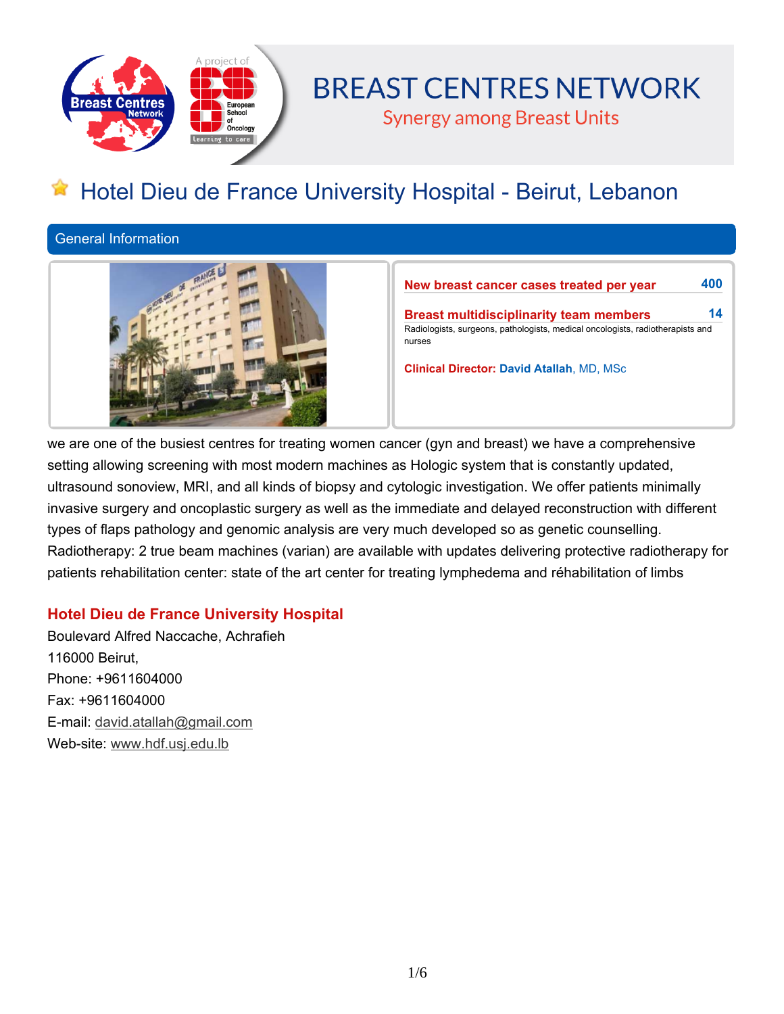

# **BREAST CENTRES NETWORK**

**Synergy among Breast Units** 

# **Hotel Dieu de France University Hospital - Beirut, Lebanon**

**General Information**



**New breast cancer cases treated per year 400 Breast multidisciplinarity team members 14 Radiologists, surgeons, pathologists, medical oncologists, radiotherapists and nurses**

**Clinical Director: David Atallah, MD, MSc**

we are one of the busiest centres for treating women cancer (gyn and breast) we have a comprehensive **setting allowing screening with most modern machines as Hologic system that is constantly updated, ultrasound sonoview, MRI, and all kinds of biopsy and cytologic investigation. We offer patients minimally invasive surgery and oncoplastic surgery as well as the immediate and delayed reconstruction with different types of flaps pathology and genomic analysis are very much developed so as genetic counselling. Radiotherapy: 2 true beam machines (varian) are available with updates delivering protective radiotherapy for patients rehabilitation center: state of the art center for treating lymphedema and réhabilitation of limbs**

# **Hotel Dieu de France University Hospital**

**Boulevard Alfred Naccache, Achrafieh 116000 Beirut, Phone: +9611604000 Fax: +9611604000 E-mail: david.atallah@gmail.com Web-site: www.hdf.usj.edu.lb**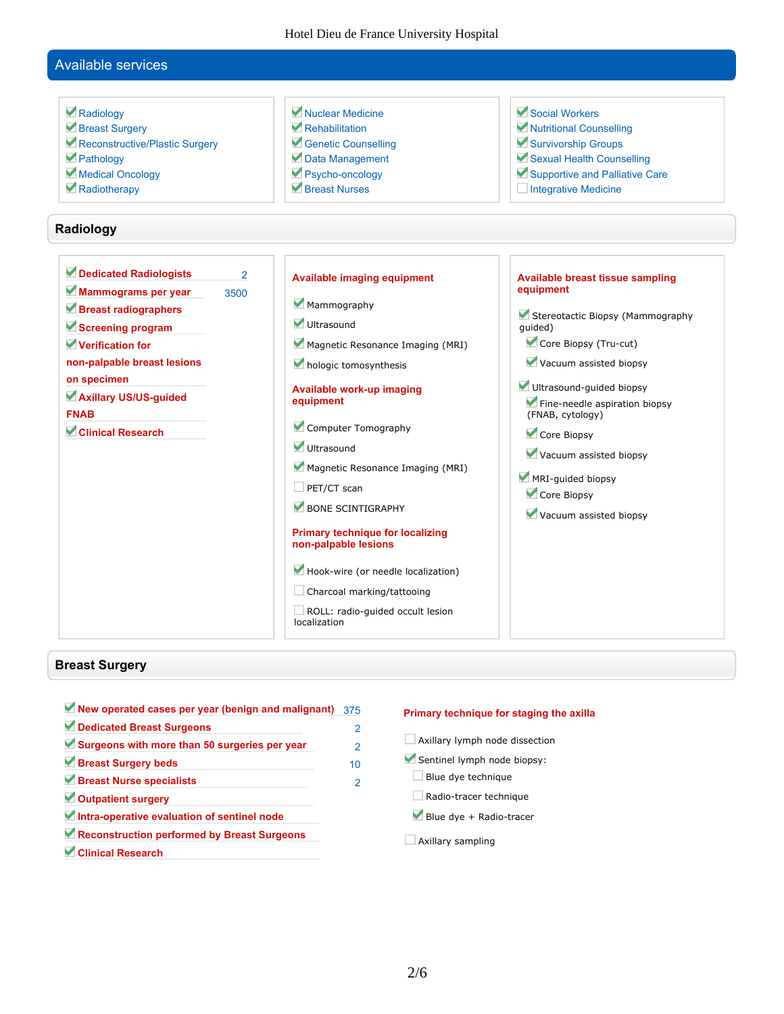# **Available services**

| Radiology<br>Breast Surgery<br>Reconstructive/Plastic Surgery<br>Pathology<br>Medical Oncology<br>Radiotherapy<br>Radiology                                                                                                                         | Muclear Medicine<br>Rehabilitation<br>Genetic Counselling<br>Data Management<br>Psycho-oncology<br>Breast Nurses                                                                                                                                                                                                                                                                                                                                                                      | Social Workers<br>Mutritional Counselling<br>Survivorship Groups<br>Sexual Health Counselling<br>Supportive and Palliative Care<br>Integrative Medicine                                                                                                                                                                                        |
|-----------------------------------------------------------------------------------------------------------------------------------------------------------------------------------------------------------------------------------------------------|---------------------------------------------------------------------------------------------------------------------------------------------------------------------------------------------------------------------------------------------------------------------------------------------------------------------------------------------------------------------------------------------------------------------------------------------------------------------------------------|------------------------------------------------------------------------------------------------------------------------------------------------------------------------------------------------------------------------------------------------------------------------------------------------------------------------------------------------|
| Dedicated Radiologists<br>$\overline{2}$<br>Mammograms per year<br>3500<br>Breast radiographers<br>Screening program<br>Verification for<br>non-palpable breast lesions<br>on specimen<br>Axillary US/US-guided<br><b>FNAB</b><br>Clinical Research | <b>Available imaging equipment</b><br>Mammography<br>Ultrasound<br>Magnetic Resonance Imaging (MRI)<br>hologic tomosynthesis<br>Available work-up imaging<br>equipment<br>Computer Tomography<br>Ultrasound<br>Magnetic Resonance Imaging (MRI)<br>$\Box$ PET/CT scan<br>BONE SCINTIGRAPHY<br><b>Primary technique for localizing</b><br>non-palpable lesions<br>Hook-wire (or needle localization)<br>Charcoal marking/tattooing<br>ROLL: radio-guided occult lesion<br>localization | <b>Available breast tissue sampling</b><br>equipment<br>Stereotactic Biopsy (Mammography<br>quided)<br>Core Biopsy (Tru-cut)<br>Vacuum assisted biopsy<br>Ultrasound-guided biopsy<br>Fine-needle aspiration biopsy<br>(FNAB, cytology)<br>Core Biopsy<br>Vacuum assisted biopsy<br>MRI-guided biopsy<br>Core Biopsy<br>Vacuum assisted biopsy |

# **Breast Surgery**

| New operated cases per year (benign and malignant) | 375 |
|----------------------------------------------------|-----|
| Dedicated Breast Surgeons                          | 2   |
| Surgeons with more than 50 surgeries per year      | 2   |
| Breast Surgery beds                                | 10  |
| Breast Nurse specialists                           | 2   |
| Outpatient surgery                                 |     |
| Intra-operative evaluation of sentinel node        |     |
| Reconstruction performed by Breast Surgeons        |     |
| Clinical Research                                  |     |

#### **Primary technique for staging the axilla**

- **Axillary lymph node dissection**
- **Sentinel lymph node biopsy:**
- **Blue dye technique**
- **Radio-tracer technique**
- **Blue dye + Radio-tracer**
- **Axillary sampling**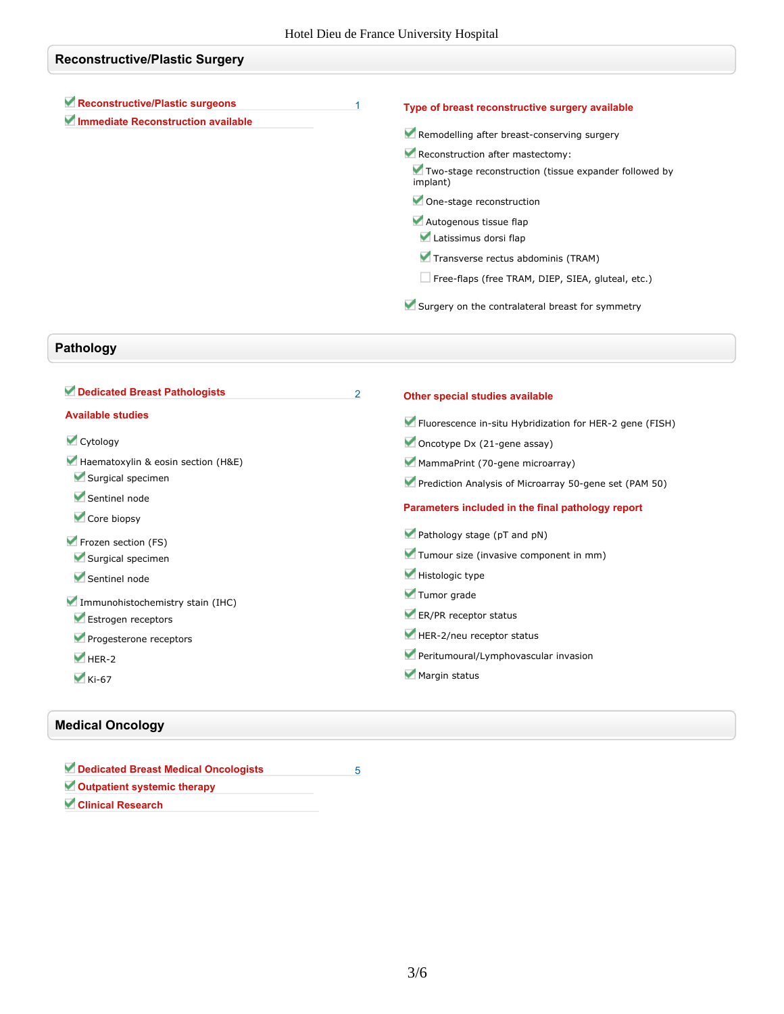| <b>Reconstructive/Plastic Surgery</b>     |   |                                                                   |
|-------------------------------------------|---|-------------------------------------------------------------------|
|                                           |   |                                                                   |
| Reconstructive/Plastic surgeons           | 1 | Type of breast reconstructive surgery available                   |
| <b>Immediate Reconstruction available</b> |   | Remodelling after breast-conserving surgery                       |
|                                           |   | Reconstruction after mastectomy:                                  |
|                                           |   | Two-stage reconstruction (tissue expander followed by<br>implant) |
|                                           |   | One-stage reconstruction                                          |
|                                           |   | Autogenous tissue flap                                            |
|                                           |   | Latissimus dorsi flap                                             |
|                                           |   | Transverse rectus abdominis (TRAM)                                |
|                                           |   | Free-flaps (free TRAM, DIEP, SIEA, gluteal, etc.)                 |
|                                           |   | Surgery on the contralateral breast for symmetry                  |

# **Pathology**

| Dedicated Breast Pathologists      | $\overline{2}$ | Other special studies available                          |
|------------------------------------|----------------|----------------------------------------------------------|
| <b>Available studies</b>           |                | Fluorescence in-situ Hybridization for HER-2 gene (FISH) |
| Cytology                           |                | Oncotype Dx (21-gene assay)                              |
| Haematoxylin & eosin section (H&E) |                | MammaPrint (70-gene microarray)                          |
| Surgical specimen                  |                | Prediction Analysis of Microarray 50-gene set (PAM 50)   |
| Sentinel node<br>Core biopsy       |                | Parameters included in the final pathology report        |
| Frozen section (FS)                |                | Pathology stage (pT and pN)                              |
| Surgical specimen                  |                | Tumour size (invasive component in mm)                   |
| Sentinel node                      |                | Histologic type                                          |
| Immunohistochemistry stain (IHC)   |                | Tumor grade                                              |
| Estrogen receptors                 |                | ER/PR receptor status                                    |
| Progesterone receptors             |                | HER-2/neu receptor status                                |
| $V$ HER-2                          |                | Peritumoural/Lymphovascular invasion                     |
| $\blacktriangleright$ Ki-67        |                | Margin status                                            |

## **Medical Oncology**

| Dedicated Breast Medical Oncologists |  |
|--------------------------------------|--|
| Outpatient systemic therapy          |  |
| <b>Clinical Research</b>             |  |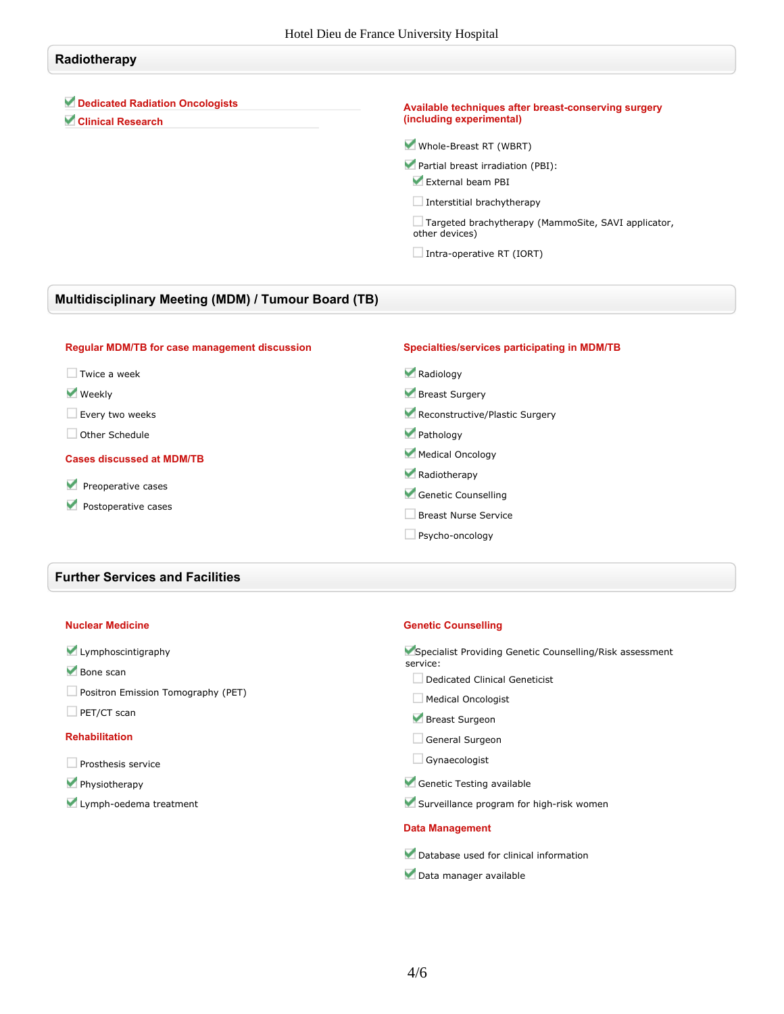## **Radiotherapy**

### **Dedicated Radiation Oncologists**

**Clinical Research**

#### **Available techniques after breast-conserving surgery (including experimental)**

**Whole-Breast RT (WBRT)**

- **Partial breast irradiation (PBI): External beam PBI**
- **Interstitial brachytherapy**

**Targeted brachytherapy (MammoSite, SAVI applicator, other devices)**

**Intra-operative RT (IORT)**

## **Multidisciplinary Meeting (MDM) / Tumour Board (TB)**

| <b>Regular MDM/TB for case management discussion</b> | Specialties/services participating in MDM/TB |
|------------------------------------------------------|----------------------------------------------|
| Twice a week                                         | Radiology                                    |
| $\blacktriangledown$ Weekly                          | Breast Surgery                               |
| Every two weeks                                      | Reconstructive/Plastic Surgery               |
| Other Schedule                                       | Pathology                                    |
| <b>Cases discussed at MDM/TB</b>                     | Medical Oncology                             |
|                                                      | Radiotherapy                                 |
| Preoperative cases<br>v                              | Genetic Counselling                          |
| Postoperative cases                                  | Breast Nurse Service                         |
|                                                      | Psycho-oncology                              |

#### **Further Services and Facilities**

#### **Nuclear Medicine**

### **Lymphoscintigraphy**

- **Bone scan**
- **Positron Emission Tomography (PET)**
- **PET/CT scan**

#### **Rehabilitation**

- **Prosthesis service**
- **Physiotherapy**
- **Lymph-oedema treatment**

#### **Genetic Counselling**

**Specialist Providing Genetic Counselling/Risk assessment service:**

- **Dedicated Clinical Geneticist**
- **Medical Oncologist**
- **Breast Surgeon**
- **General Surgeon**
- **Gynaecologist**
- **Genetic Testing available**
- **Surveillance program for high-risk women**

#### **Data Management**

- **Database used for clinical information**
- **Data manager available**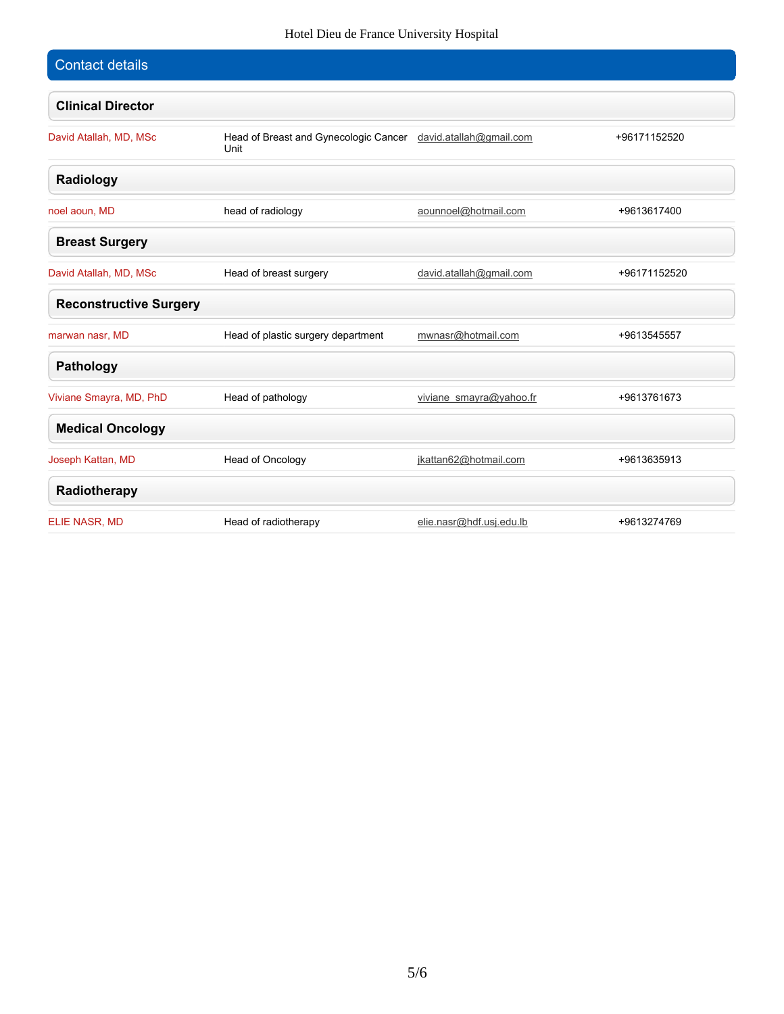## Hotel Dieu de France University Hospital

| <b>Contact details</b>        |                                                                       |                          |              |
|-------------------------------|-----------------------------------------------------------------------|--------------------------|--------------|
| <b>Clinical Director</b>      |                                                                       |                          |              |
| David Atallah, MD, MSc        | Head of Breast and Gynecologic Cancer david.atallah@gmail.com<br>Unit |                          | +96171152520 |
| Radiology                     |                                                                       |                          |              |
| noel aoun, MD                 | head of radiology                                                     | aounnoel@hotmail.com     | +9613617400  |
| <b>Breast Surgery</b>         |                                                                       |                          |              |
| David Atallah, MD, MSc        | Head of breast surgery                                                | david.atallah@gmail.com  | +96171152520 |
| <b>Reconstructive Surgery</b> |                                                                       |                          |              |
| marwan nasr, MD               | Head of plastic surgery department                                    | mwnasr@hotmail.com       | +9613545557  |
| <b>Pathology</b>              |                                                                       |                          |              |
| Viviane Smayra, MD, PhD       | Head of pathology                                                     | viviane smayra@yahoo.fr  | +9613761673  |
| <b>Medical Oncology</b>       |                                                                       |                          |              |
| Joseph Kattan, MD             | Head of Oncology                                                      | jkattan62@hotmail.com    | +9613635913  |
| Radiotherapy                  |                                                                       |                          |              |
| ELIE NASR, MD                 | Head of radiotherapy                                                  | elie.nasr@hdf.usj.edu.lb | +9613274769  |